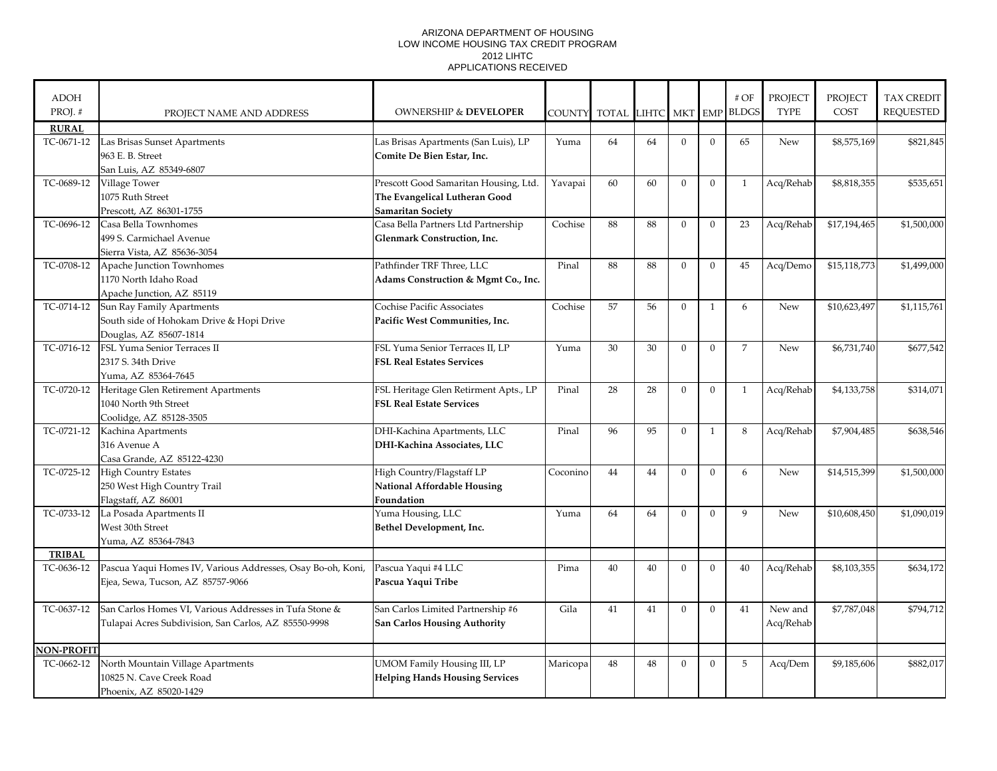## ARIZONA DEPARTMENT OF HOUSING LOW INCOME HOUSING TAX CREDIT PROGRAM 2012 LIHTC APPLICATIONS RECEIVED

| <b>ADOH</b>       |                                                             |                                       |               |              |           |                |                | $\#$ OF        | PROJECT     | <b>PROJECT</b> | <b>TAX CREDIT</b> |
|-------------------|-------------------------------------------------------------|---------------------------------------|---------------|--------------|-----------|----------------|----------------|----------------|-------------|----------------|-------------------|
| PROJ.#            | PROJECT NAME AND ADDRESS                                    | <b>OWNERSHIP &amp; DEVELOPER</b>      | <b>COUNTY</b> | <b>TOTAL</b> | LIHTC MKT |                | <b>EMP</b>     | <b>BLDGS</b>   | <b>TYPE</b> | COST           | <b>REQUESTED</b>  |
| <b>RURAL</b>      |                                                             |                                       |               |              |           |                |                |                |             |                |                   |
| TC-0671-12        | Las Brisas Sunset Apartments                                | Las Brisas Apartments (San Luis), LP  | Yuma          | 64           | 64        | $\mathbf{0}$   | $\overline{0}$ | 65             | New         | \$8,575,169    | \$821,845         |
|                   | 963 E. B. Street                                            | Comite De Bien Estar, Inc.            |               |              |           |                |                |                |             |                |                   |
|                   | San Luis, AZ 85349-6807                                     |                                       |               |              |           |                |                |                |             |                |                   |
| TC-0689-12        | Village Tower                                               | Prescott Good Samaritan Housing, Ltd. | Yavapai       | 60           | 60        | $\mathbf{0}$   | $\mathbf{0}$   | $\mathbf{1}$   | Acq/Rehab   | \$8,818,355    | \$535,651         |
|                   | 1075 Ruth Street                                            | The Evangelical Lutheran Good         |               |              |           |                |                |                |             |                |                   |
|                   | Prescott, AZ 86301-1755                                     | <b>Samaritan Society</b>              |               |              |           |                |                |                |             |                |                   |
| TC-0696-12        | Casa Bella Townhomes                                        | Casa Bella Partners Ltd Partnership   | Cochise       | 88           | 88        | $\overline{0}$ | $\Omega$       | 23             | Acq/Rehab   | \$17,194,465   | \$1,500,000       |
|                   | 499 S. Carmichael Avenue                                    | <b>Glenmark Construction, Inc.</b>    |               |              |           |                |                |                |             |                |                   |
|                   | Sierra Vista, AZ 85636-3054                                 |                                       |               |              |           |                |                |                |             |                |                   |
| TC-0708-12        | Apache Junction Townhomes                                   | Pathfinder TRF Three, LLC             | Pinal         | 88           | 88        | $\overline{0}$ | $\mathbf{0}$   | 45             | Acq/Demo    | \$15,118,773   | \$1,499,000       |
|                   | 1170 North Idaho Road                                       | Adams Construction & Mgmt Co., Inc.   |               |              |           |                |                |                |             |                |                   |
|                   | Apache Junction, AZ 85119                                   |                                       |               |              |           |                |                |                |             |                |                   |
| TC-0714-12        | Sun Ray Family Apartments                                   | Cochise Pacific Associates            | Cochise       | 57           | 56        | $\mathbf{0}$   | $\mathbf{1}$   | 6              | <b>New</b>  | \$10,623,497   | \$1,115,761       |
|                   | South side of Hohokam Drive & Hopi Drive                    | Pacific West Communities, Inc.        |               |              |           |                |                |                |             |                |                   |
|                   | Douglas, AZ 85607-1814                                      |                                       |               |              |           |                |                |                |             |                |                   |
| TC-0716-12        | FSL Yuma Senior Terraces II                                 | FSL Yuma Senior Terraces II, LP       | Yuma          | 30           | 30        | $\mathbf{0}$   | $\overline{0}$ | $\overline{7}$ | <b>New</b>  | \$6,731,740    | \$677,542         |
|                   | 2317 S. 34th Drive                                          | <b>FSL Real Estates Services</b>      |               |              |           |                |                |                |             |                |                   |
|                   | Yuma, AZ 85364-7645                                         |                                       |               |              |           |                |                |                |             |                |                   |
| TC-0720-12        | Heritage Glen Retirement Apartments                         | FSL Heritage Glen Retirment Apts., LP | Pinal         | 28           | 28        | $\mathbf{0}$   | $\Omega$       | $\mathbf{1}$   | Acq/Rehab   | \$4,133,758    | \$314,071         |
|                   | 1040 North 9th Street                                       | <b>FSL Real Estate Services</b>       |               |              |           |                |                |                |             |                |                   |
|                   | Coolidge, AZ 85128-3505                                     |                                       |               |              |           |                |                |                |             |                |                   |
| TC-0721-12        | Kachina Apartments                                          | DHI-Kachina Apartments, LLC           | Pinal         | 96           | 95        | $\overline{0}$ | $\mathbf{1}$   | 8              | Acq/Rehab   | \$7,904,485    | \$638,546         |
|                   | 316 Avenue A                                                | DHI-Kachina Associates, LLC           |               |              |           |                |                |                |             |                |                   |
|                   | Casa Grande, AZ 85122-4230                                  |                                       |               |              |           |                |                |                |             |                |                   |
| TC-0725-12        | <b>High Country Estates</b>                                 | High Country/Flagstaff LP             | Coconino      | 44           | 44        | $\mathbf{0}$   | $\mathbf{0}$   | 6              | New         | \$14,515,399   | \$1,500,000       |
|                   | 250 West High Country Trail                                 | <b>National Affordable Housing</b>    |               |              |           |                |                |                |             |                |                   |
|                   | Flagstaff, AZ 86001                                         | Foundation                            |               |              |           |                |                |                |             |                |                   |
| TC-0733-12        | La Posada Apartments II                                     | Yuma Housing, LLC                     | Yuma          | 64           | 64        | $\Omega$       | $\Omega$       | 9              | New         | \$10,608,450   | \$1,090,019       |
|                   | West 30th Street                                            | Bethel Development, Inc.              |               |              |           |                |                |                |             |                |                   |
|                   | Yuma, AZ 85364-7843                                         |                                       |               |              |           |                |                |                |             |                |                   |
| <b>TRIBAL</b>     |                                                             |                                       |               |              |           |                |                |                |             |                |                   |
| TC-0636-12        | Pascua Yaqui Homes IV, Various Addresses, Osay Bo-oh, Koni, | Pascua Yaqui #4 LLC                   | Pima          | 40           | 40        | $\mathbf{0}$   | $\overline{0}$ | 40             | Acq/Rehab   | \$8,103,355    | \$634,172         |
|                   | Ejea, Sewa, Tucson, AZ 85757-9066                           | Pascua Yaqui Tribe                    |               |              |           |                |                |                |             |                |                   |
|                   |                                                             |                                       |               |              |           |                |                |                |             |                |                   |
| TC-0637-12        | San Carlos Homes VI, Various Addresses in Tufa Stone &      | San Carlos Limited Partnership #6     | Gila          | 41           | 41        | $\Omega$       | $\Omega$       | 41             | New and     | \$7,787,048    | \$794,712         |
|                   | Tulapai Acres Subdivision, San Carlos, AZ 85550-9998        | <b>San Carlos Housing Authority</b>   |               |              |           |                |                |                | Acq/Rehab   |                |                   |
|                   |                                                             |                                       |               |              |           |                |                |                |             |                |                   |
| <b>NON-PROFIT</b> |                                                             |                                       |               |              |           |                |                |                |             |                |                   |
| TC-0662-12        | North Mountain Village Apartments                           | UMOM Family Housing III, LP           | Maricopa      | 48           | 48        | $\Omega$       | $\Omega$       | 5              | Acq/Dem     | \$9,185,606    | \$882,017         |
|                   | 10825 N. Cave Creek Road                                    | <b>Helping Hands Housing Services</b> |               |              |           |                |                |                |             |                |                   |
|                   | Phoenix, AZ 85020-1429                                      |                                       |               |              |           |                |                |                |             |                |                   |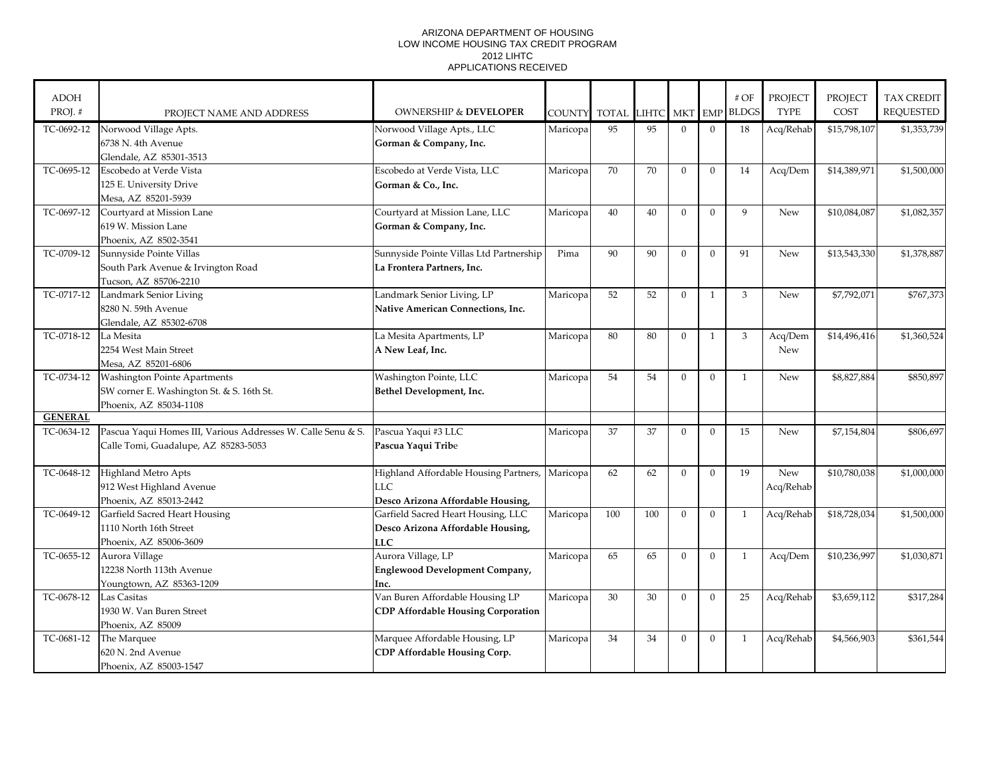## ARIZONA DEPARTMENT OF HOUSING LOW INCOME HOUSING TAX CREDIT PROGRAM 2012 LIHTC APPLICATIONS RECEIVED

| <b>ADOH</b>    |                                                              |                                                |               |       |       |                |                | # OF         | <b>PROJECT</b> | <b>PROJECT</b> | <b>TAX CREDIT</b> |
|----------------|--------------------------------------------------------------|------------------------------------------------|---------------|-------|-------|----------------|----------------|--------------|----------------|----------------|-------------------|
| PROJ.#         | PROJECT NAME AND ADDRESS                                     | <b>OWNERSHIP &amp; DEVELOPER</b>               | <b>COUNTY</b> | TOTAL | LIHTC | MKT EMP        |                | <b>BLDGS</b> | <b>TYPE</b>    | COST           | <b>REQUESTED</b>  |
| TC-0692-12     | Norwood Village Apts.                                        | Norwood Village Apts., LLC                     | Maricopa      | 95    | 95    | $\mathbf{0}$   | $\overline{0}$ | 18           | Acq/Rehab      | \$15,798,107   | \$1,353,739       |
|                | 6738 N. 4th Avenue                                           | Gorman & Company, Inc.                         |               |       |       |                |                |              |                |                |                   |
|                | Glendale, AZ 85301-3513                                      |                                                |               |       |       |                |                |              |                |                |                   |
| TC-0695-12     | Escobedo at Verde Vista                                      | Escobedo at Verde Vista, LLC                   | Maricopa      | 70    | 70    | $\mathbf{0}$   | $\mathbf{0}$   | 14           | Acq/Dem        | \$14,389,971   | \$1,500,000       |
|                | 125 E. University Drive                                      | Gorman & Co., Inc.                             |               |       |       |                |                |              |                |                |                   |
|                | Mesa, AZ 85201-5939                                          |                                                |               |       |       |                |                |              |                |                |                   |
| TC-0697-12     | Courtyard at Mission Lane                                    | Courtyard at Mission Lane, LLC                 | Maricopa      | 40    | 40    | $\Omega$       | $\Omega$       | $\mathbf{Q}$ | New            | \$10,084,087   | \$1,082,357       |
|                | 619 W. Mission Lane                                          | Gorman & Company, Inc.                         |               |       |       |                |                |              |                |                |                   |
|                | Phoenix, AZ 8502-3541                                        |                                                |               |       |       |                |                |              |                |                |                   |
| TC-0709-12     | Sunnyside Pointe Villas                                      | Sunnyside Pointe Villas Ltd Partnership        | Pima          | 90    | 90    | $\Omega$       | $\Omega$       | 91           | <b>New</b>     | \$13,543,330   | \$1,378,887       |
|                | South Park Avenue & Irvington Road                           | La Frontera Partners, Inc.                     |               |       |       |                |                |              |                |                |                   |
|                | Tucson, AZ 85706-2210                                        |                                                |               |       |       |                |                |              |                |                |                   |
| TC-0717-12     | Landmark Senior Living                                       | Landmark Senior Living, LP                     | Maricopa      | 52    | 52    | $\Omega$       | $\mathbf{1}$   | 3            | <b>New</b>     | \$7,792,071    | \$767,373         |
|                | 8280 N. 59th Avenue                                          | Native American Connections, Inc.              |               |       |       |                |                |              |                |                |                   |
|                | Glendale, AZ 85302-6708                                      |                                                |               |       |       |                |                |              |                |                |                   |
| TC-0718-12     | La Mesita                                                    | La Mesita Apartments, LP                       | Maricopa      | 80    | 80    | $\mathbf{0}$   | $\mathbf{1}$   | 3            | Acq/Dem        | \$14,496,416   | \$1,360,524       |
|                | 2254 West Main Street                                        | A New Leaf, Inc.                               |               |       |       |                |                |              | <b>New</b>     |                |                   |
|                | Mesa, AZ 85201-6806                                          |                                                |               |       |       |                |                |              |                |                |                   |
| TC-0734-12     | Washington Pointe Apartments                                 | Washington Pointe, LLC                         | Maricopa      | 54    | 54    | $\Omega$       | $\theta$       | $\mathbf{1}$ | <b>New</b>     | \$8,827,884    | \$850,897         |
|                | SW corner E. Washington St. & S. 16th St.                    | Bethel Development, Inc.                       |               |       |       |                |                |              |                |                |                   |
|                | Phoenix, AZ 85034-1108                                       |                                                |               |       |       |                |                |              |                |                |                   |
| <b>GENERAL</b> |                                                              |                                                |               |       |       |                |                |              |                |                |                   |
| TC-0634-12     | Pascua Yaqui Homes III, Various Addresses W. Calle Senu & S. | Pascua Yaqui #3 LLC                            | Maricopa      | 37    | 37    | $\overline{0}$ | $\overline{0}$ | 15           | New            | \$7,154,804    | \$806,697         |
|                | Calle Tomi, Guadalupe, AZ 85283-5053                         | Pascua Yaqui Tribe                             |               |       |       |                |                |              |                |                |                   |
|                |                                                              |                                                |               |       |       |                |                |              |                |                |                   |
| TC-0648-12     | Highland Metro Apts                                          | Highland Affordable Housing Partners, Maricopa |               | 62    | 62    | $\mathbf{0}$   | $\mathbf{0}$   | 19           | <b>New</b>     | \$10,780,038   | \$1,000,000       |
|                | 912 West Highland Avenue                                     | <b>LLC</b>                                     |               |       |       |                |                |              | Acq/Rehab      |                |                   |
|                | Phoenix, AZ 85013-2442                                       | Desco Arizona Affordable Housing,              |               |       |       |                |                |              |                |                |                   |
| TC-0649-12     | Garfield Sacred Heart Housing                                | Garfield Sacred Heart Housing, LLC             | Maricopa      | 100   | 100   | $\Omega$       | $\theta$       | $\mathbf{1}$ | Acq/Rehab      | \$18,728,034   | \$1,500,000       |
|                | 1110 North 16th Street                                       | Desco Arizona Affordable Housing,              |               |       |       |                |                |              |                |                |                   |
|                | Phoenix, AZ 85006-3609                                       | <b>LLC</b>                                     |               |       |       |                |                |              |                |                |                   |
| TC-0655-12     | Aurora Village                                               | Aurora Village, LP                             | Maricopa      | 65    | 65    | $\Omega$       | $\Omega$       | $\mathbf{1}$ | Acq/Dem        | \$10,236,997   | \$1,030,871       |
|                | 12238 North 113th Avenue                                     | Englewood Development Company,                 |               |       |       |                |                |              |                |                |                   |
|                | Youngtown, AZ 85363-1209                                     | Inc.                                           |               |       |       |                |                |              |                |                |                   |
| TC-0678-12     | Las Casitas                                                  | Van Buren Affordable Housing LP                | Maricopa      | 30    | 30    | $\mathbf{0}$   | $\theta$       | 25           | Acq/Rehab      | \$3,659,112    | \$317,284         |
|                | 1930 W. Van Buren Street                                     | <b>CDP Affordable Housing Corporation</b>      |               |       |       |                |                |              |                |                |                   |
|                | Phoenix, AZ 85009                                            |                                                |               |       |       |                |                |              |                |                |                   |
| TC-0681-12     | The Marquee                                                  | Marquee Affordable Housing, LP                 | Maricopa      | 34    | 34    | $\mathbf{0}$   | $\mathbf{0}$   | 1            | Acq/Rehab      | \$4,566,903    | \$361,544         |
|                | 620 N. 2nd Avenue                                            | CDP Affordable Housing Corp.                   |               |       |       |                |                |              |                |                |                   |
|                | Phoenix, AZ 85003-1547                                       |                                                |               |       |       |                |                |              |                |                |                   |